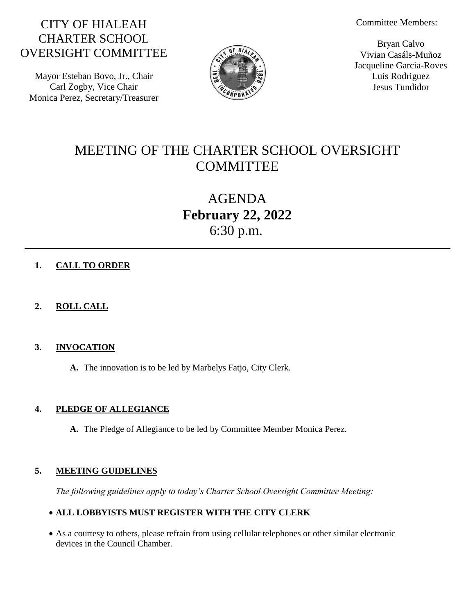Committee Members:

# CITY OF HIALEAH CHARTER SCHOOL OVERSIGHT COMMITTEE

Mayor Esteban Bovo, Jr., Chair Carl Zogby, Vice Chair Monica Perez, Secretary/Treasurer



Bryan Calvo Vivian Casáls-Muñoz Jacqueline Garcia-Roves Luis Rodriguez Jesus Tundidor

# MEETING OF THE CHARTER SCHOOL OVERSIGHT **COMMITTEE**

AGENDA **February 22, 2022** 6:30 p.m.

# **1. CALL TO ORDER**

# **2. ROLL CALL**

# **3. INVOCATION**

**A.** The innovation is to be led by Marbelys Fatjo, City Clerk.

# **4. PLEDGE OF ALLEGIANCE**

**A.** The Pledge of Allegiance to be led by Committee Member Monica Perez.

# **5. MEETING GUIDELINES**

*The following guidelines apply to today's Charter School Oversight Committee Meeting:*

## **ALL LOBBYISTS MUST REGISTER WITH THE CITY CLERK**

 As a courtesy to others, please refrain from using cellular telephones or other similar electronic devices in the Council Chamber.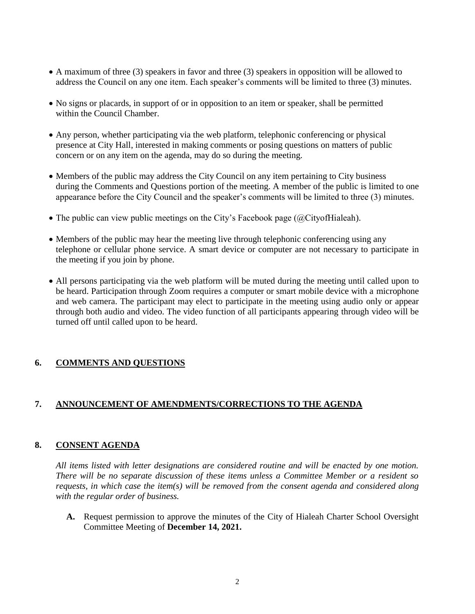- A maximum of three (3) speakers in favor and three (3) speakers in opposition will be allowed to address the Council on any one item. Each speaker's comments will be limited to three (3) minutes.
- No signs or placards, in support of or in opposition to an item or speaker, shall be permitted within the Council Chamber.
- Any person, whether participating via the web platform, telephonic conferencing or physical presence at City Hall, interested in making comments or posing questions on matters of public concern or on any item on the agenda, may do so during the meeting.
- Members of the public may address the City Council on any item pertaining to City business during the Comments and Questions portion of the meeting. A member of the public is limited to one appearance before the City Council and the speaker's comments will be limited to three (3) minutes.
- The public can view public meetings on the City's Facebook page ( $@Cityoff$ Hialeah).
- Members of the public may hear the meeting live through telephonic conferencing using any telephone or cellular phone service. A smart device or computer are not necessary to participate in the meeting if you join by phone.
- All persons participating via the web platform will be muted during the meeting until called upon to be heard. Participation through Zoom requires a computer or smart mobile device with a microphone and web camera. The participant may elect to participate in the meeting using audio only or appear through both audio and video. The video function of all participants appearing through video will be turned off until called upon to be heard.

## **6. COMMENTS AND QUESTIONS**

## **7. ANNOUNCEMENT OF AMENDMENTS/CORRECTIONS TO THE AGENDA**

### **8. CONSENT AGENDA**

*All items listed with letter designations are considered routine and will be enacted by one motion. There will be no separate discussion of these items unless a Committee Member or a resident so requests, in which case the item(s) will be removed from the consent agenda and considered along with the regular order of business.*

**A.** Request permission to approve the minutes of the City of Hialeah Charter School Oversight Committee Meeting of **December 14, 2021.**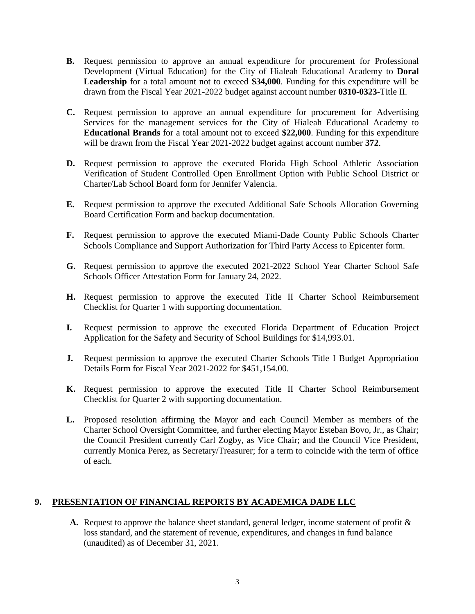- **B.** Request permission to approve an annual expenditure for procurement for Professional Development (Virtual Education) for the City of Hialeah Educational Academy to **Doral Leadership** for a total amount not to exceed **\$34,000**. Funding for this expenditure will be drawn from the Fiscal Year 2021-2022 budget against account number **0310-0323**-Title II.
- **C.** Request permission to approve an annual expenditure for procurement for Advertising Services for the management services for the City of Hialeah Educational Academy to **Educational Brands** for a total amount not to exceed **\$22,000**. Funding for this expenditure will be drawn from the Fiscal Year 2021-2022 budget against account number **372**.
- **D.** Request permission to approve the executed Florida High School Athletic Association Verification of Student Controlled Open Enrollment Option with Public School District or Charter/Lab School Board form for Jennifer Valencia.
- **E.** Request permission to approve the executed Additional Safe Schools Allocation Governing Board Certification Form and backup documentation.
- **F.** Request permission to approve the executed Miami-Dade County Public Schools Charter Schools Compliance and Support Authorization for Third Party Access to Epicenter form.
- **G.** Request permission to approve the executed 2021-2022 School Year Charter School Safe Schools Officer Attestation Form for January 24, 2022.
- **H.** Request permission to approve the executed Title II Charter School Reimbursement Checklist for Quarter 1 with supporting documentation.
- **I.** Request permission to approve the executed Florida Department of Education Project Application for the Safety and Security of School Buildings for \$14,993.01.
- **J.** Request permission to approve the executed Charter Schools Title I Budget Appropriation Details Form for Fiscal Year 2021-2022 for \$451,154.00.
- **K.** Request permission to approve the executed Title II Charter School Reimbursement Checklist for Quarter 2 with supporting documentation.
- **L.** Proposed resolution affirming the Mayor and each Council Member as members of the Charter School Oversight Committee, and further electing Mayor Esteban Bovo, Jr., as Chair; the Council President currently Carl Zogby, as Vice Chair; and the Council Vice President, currently Monica Perez, as Secretary/Treasurer; for a term to coincide with the term of office of each.

## **9. PRESENTATION OF FINANCIAL REPORTS BY ACADEMICA DADE LLC**

**A.** Request to approve the balance sheet standard, general ledger, income statement of profit & loss standard, and the statement of revenue, expenditures, and changes in fund balance (unaudited) as of December 31, 2021.